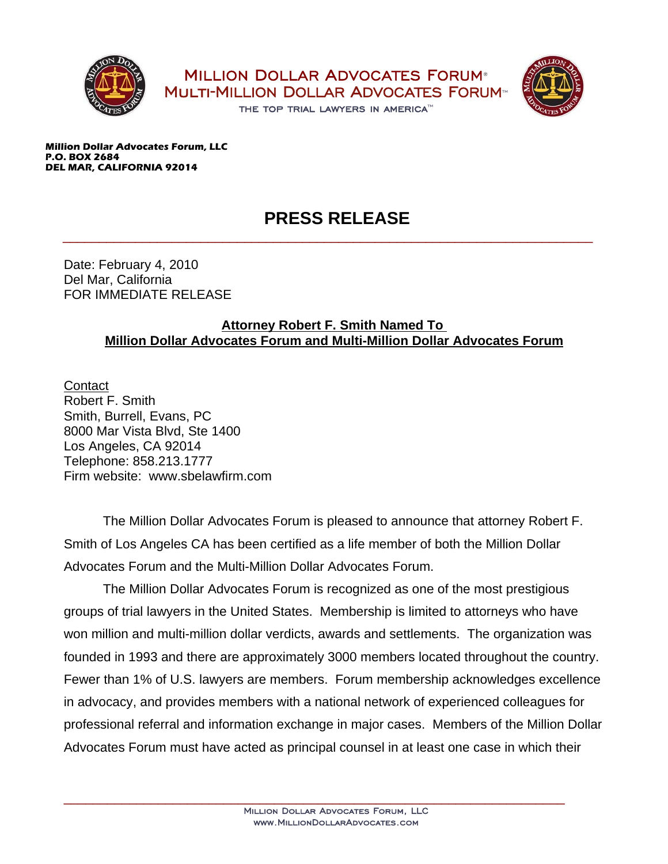



**Million Dollar Advocates Forum, LLC P.O. BOX 2684 DEL MAR, CALIFORNIA 92014**

## **PRESS RELEASE**

\_\_\_\_\_\_\_\_\_\_\_\_\_\_\_\_\_\_\_\_\_\_\_\_\_\_\_\_\_\_\_\_\_\_\_\_\_\_\_\_\_\_\_\_\_\_\_\_\_\_\_\_\_\_\_\_\_\_\_\_\_\_\_\_\_\_\_\_\_\_\_\_\_

Date: February 4, 2010 Del Mar, California FOR IMMEDIATE RELEASE

## **Attorney Robert F. Smith Named To Million Dollar Advocates Forum and Multi-Million Dollar Advocates Forum**

**Contact** Robert F. Smith Smith, Burrell, Evans, PC 8000 Mar Vista Blvd, Ste 1400 Los Angeles, CA 92014 Telephone: 858.213.1777 Firm website: www.sbelawfirm.com

The Million Dollar Advocates Forum is pleased to announce that attorney Robert F. Smith of Los Angeles CA has been certified as a life member of both the Million Dollar Advocates Forum and the Multi-Million Dollar Advocates Forum.

The Million Dollar Advocates Forum is recognized as one of the most prestigious groups of trial lawyers in the United States. Membership is limited to attorneys who have won million and multi-million dollar verdicts, awards and settlements. The organization was founded in 1993 and there are approximately 3000 members located throughout the country. Fewer than 1% of U.S. lawyers are members. Forum membership acknowledges excellence in advocacy, and provides members with a national network of experienced colleagues for professional referral and information exchange in major cases. Members of the Million Dollar Advocates Forum must have acted as principal counsel in at least one case in which their

\_\_\_\_\_\_\_\_\_\_\_\_\_\_\_\_\_\_\_\_\_\_\_\_\_\_\_\_\_\_\_\_\_\_\_\_\_\_\_\_\_\_\_\_\_\_\_\_\_\_\_\_\_\_\_\_\_\_\_\_\_\_\_\_\_\_\_\_\_